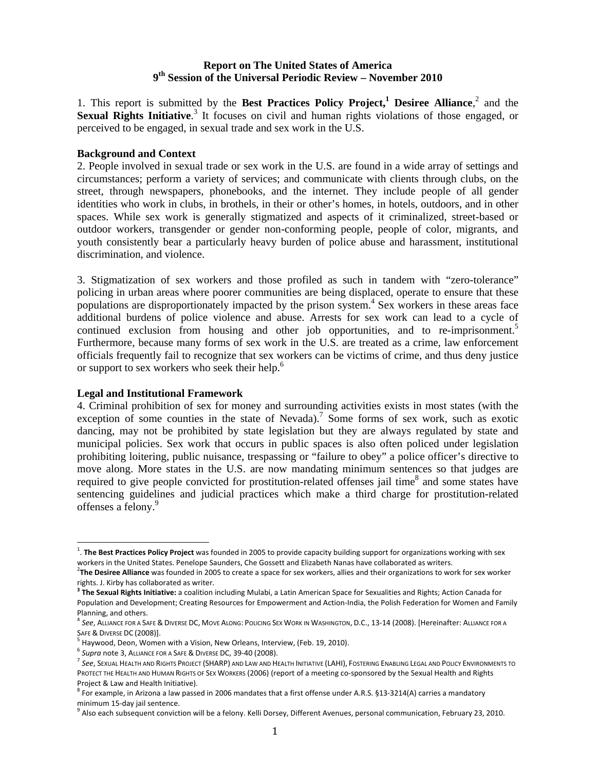## **Report on The United States of America 9th Session of the Universal Periodic Review – November 2010**

1. This report is submitted by the Best Practices Policy Project,<sup>1</sup> Desiree Alliance,<sup>2</sup> and the Sexual Rights Initiative.<sup>3</sup> It focuses on civil and human rights violations of those engaged, or perceived to be engaged, in sexual trade and sex work in the U.S.

## **Background and Context**

2. People involved in sexual trade or sex work in the U.S. are found in a wide array of settings and circumstances; perform a variety of services; and communicate with clients through clubs, on the street, through newspapers, phonebooks, and the internet. They include people of all gender identities who work in clubs, in brothels, in their or other's homes, in hotels, outdoors, and in other spaces. While sex work is generally stigmatized and aspects of it criminalized, street-based or outdoor workers, transgender or gender non-conforming people, people of color, migrants, and youth consistently bear a particularly heavy burden of police abuse and harassment, institutional discrimination, and violence.

3. Stigmatization of sex workers and those profiled as such in tandem with "zero-tolerance" policing in urban areas where poorer communities are being displaced, operate to ensure that these populations are disproportionately impacted by the prison system.<sup>4</sup> Sex workers in these areas face additional burdens of police violence and abuse. Arrests for sex work can lead to a cycle of continued exclusion from housing and other job opportunities, and to re-imprisonment.<sup>5</sup> Furthermore, because many forms of sex work in the U.S. are treated as a crime, law enforcement officials frequently fail to recognize that sex workers can be victims of crime, and thus deny justice or support to sex workers who seek their help.<sup>6</sup>

## **Legal and Institutional Framework**

4. Criminal prohibition of sex for money and surrounding activities exists in most states (with the exception of some counties in the state of Nevada).<sup>7</sup> Some forms of sex work, such as exotic dancing, may not be prohibited by state legislation but they are always regulated by state and municipal policies. Sex work that occurs in public spaces is also often policed under legislation prohibiting loitering, public nuisance, trespassing or "failure to obey" a police officer's directive to move along. More states in the U.S. are now mandating minimum sentences so that judges are required to give people convicted for prostitution-related offenses jail time<sup>8</sup> and some states have sentencing guidelines and judicial practices which make a third charge for prostitution-related offenses a felony.<sup>9</sup>

<sup>1</sup> . **The Best Practices Policy Project** was founded in 2005 to provide capacity building support for organizations working with sex workers in the United States. Penelope Saunders, Che Gossett and Elizabeth Nanas have collaborated as writers. <sup>2</sup>

**The Desiree Alliance** was founded in 2005 to create a space for sex workers, allies and their organizations to work for sex worker

rights. J. Kirby has collaborated as writer.<br><sup>3</sup> **The Sexual Rights Initiative:** a coalition including Mulabi, a Latin American Space for Sexualities and Rights; Action Canada for Population and Development; Creating Resources for Empowerment and Action‐India, the Polish Federation for Women and Family

Planning, and others.<br><sup>4</sup> See, ALLIANCE FOR A SAFE & DIVERSE DC, MOVE ALONG: POLICING SEX WORK IN WASHINGTON, D.C., 13-14 (2008). [Hereinafter: ALLIANCE FOR A

SAFE & Diverse DC (2008)].<br><sup>5</sup> Haywood, Deon, Women with a Vision, New Orleans, Interview, (Feb. 19, 2010).<br><sup>6</sup> Supra note 3, Alliance for a Safe & Diverse DC, 39-40 (2008).<br><sup>7</sup> See, Sexual Health and Rights Project (SHARP PROTECT THE HEALTH AND HUMAN RIGHTS OF SEX WORKERS (2006) (report of a meeting co-sponsored by the Sexual Health and Rights Project & Law and Health Initiative).<br><sup>8</sup> For example, in Arizona a law passed in 2006 mandates that a first offense under A.R.S. §13-3214(A) carries a mandatory

minimum 15-day jail sentence.<br><sup>9</sup> Also each subsequent conviction will be a felony. Kelli Dorsey, Different Avenues, personal communication, February 23, 2010.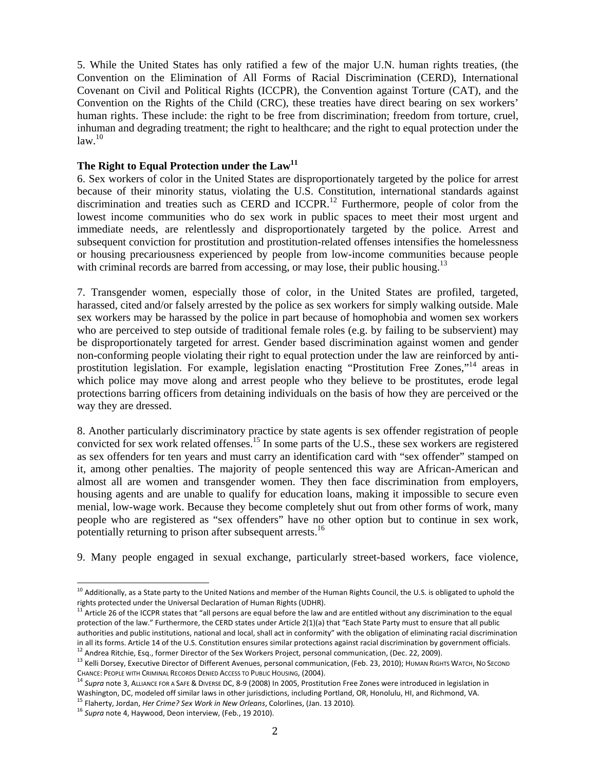5. While the United States has only ratified a few of the major U.N. human rights treaties, (the Convention on the Elimination of All Forms of Racial Discrimination (CERD), International Covenant on Civil and Political Rights (ICCPR), the Convention against Torture (CAT), and the Convention on the Rights of the Child (CRC), these treaties have direct bearing on sex workers' human rights. These include: the right to be free from discrimination; freedom from torture, cruel, inhuman and degrading treatment; the right to healthcare; and the right to equal protection under the  $law.<sup>10</sup>$ 

# The Right to Equal Protection under the Law<sup>11</sup>

6. Sex workers of color in the United States are disproportionately targeted by the police for arrest because of their minority status, violating the U.S. Constitution, international standards against discrimination and treaties such as CERD and ICCPR.<sup>12</sup> Furthermore, people of color from the lowest income communities who do sex work in public spaces to meet their most urgent and immediate needs, are relentlessly and disproportionately targeted by the police. Arrest and subsequent conviction for prostitution and prostitution-related offenses intensifies the homelessness or housing precariousness experienced by people from low-income communities because people with criminal records are barred from accessing, or may lose, their public housing.<sup>13</sup>

7. Transgender women, especially those of color, in the United States are profiled, targeted, harassed, cited and/or falsely arrested by the police as sex workers for simply walking outside. Male sex workers may be harassed by the police in part because of homophobia and women sex workers who are perceived to step outside of traditional female roles (e.g. by failing to be subservient) may be disproportionately targeted for arrest. Gender based discrimination against women and gender non-conforming people violating their right to equal protection under the law are reinforced by antiprostitution legislation. For example, legislation enacting "Prostitution Free Zones,"14 areas in which police may move along and arrest people who they believe to be prostitutes, erode legal protections barring officers from detaining individuals on the basis of how they are perceived or the way they are dressed.

8. Another particularly discriminatory practice by state agents is sex offender registration of people convicted for sex work related offenses.15 In some parts of the U.S., these sex workers are registered as sex offenders for ten years and must carry an identification card with "sex offender" stamped on it, among other penalties. The majority of people sentenced this way are African-American and almost all are women and transgender women. They then face discrimination from employers, housing agents and are unable to qualify for education loans, making it impossible to secure even menial, low-wage work. Because they become completely shut out from other forms of work, many people who are registered as "sex offenders" have no other option but to continue in sex work, potentially returning to prison after subsequent arrests.<sup>16</sup>

9. Many people engaged in sexual exchange, particularly street-based workers, face violence,

<sup>&</sup>lt;sup>10</sup> Additionally, as a State party to the United Nations and member of the Human Rights Council, the U.S. is obligated to uphold the

rights protected under the Universal Declaration of Human Rights (UDHR).<br><sup>11</sup> Article 26 of the ICCPR states that "all persons are equal before the law and are entitled without any discrimination to the equal protection of the law." Furthermore, the CERD states under Article 2(1)(a) that "Each State Party must to ensure that all public authorities and public institutions, national and local, shall act in conformity" with the obligation of eliminating racial discrimination

in all its forms. Article 14 of the U.S. Constitution ensures similar protections against racial discrimination by government officials.<br><sup>12</sup> Andrea Ritchie, Esq., former Director of the Sex Workers Project, personal comm

CHANCE: PEOPLE WITH CRIMINAL RECORDS DENIED ACCESS TO PUBLIC HOUSING, (2004).<br><sup>14</sup> Supra note 3, ALLIANCE FOR A SAFE & DIVERSE DC, 8-9 (2008) In 2005, Prostitution Free Zones were introduced in legislation in

Washington, DC, modeled off similar laws in other jurisdictions, including Portland, OR, Honolulu, HI, and Richmond, VA.<br><sup>15</sup> Flaherty, Jordan, *Her Crime? Sex Work in New Orleans*, Colorlines, (Jan. 13 2010).<br><sup>16</sup> Supra n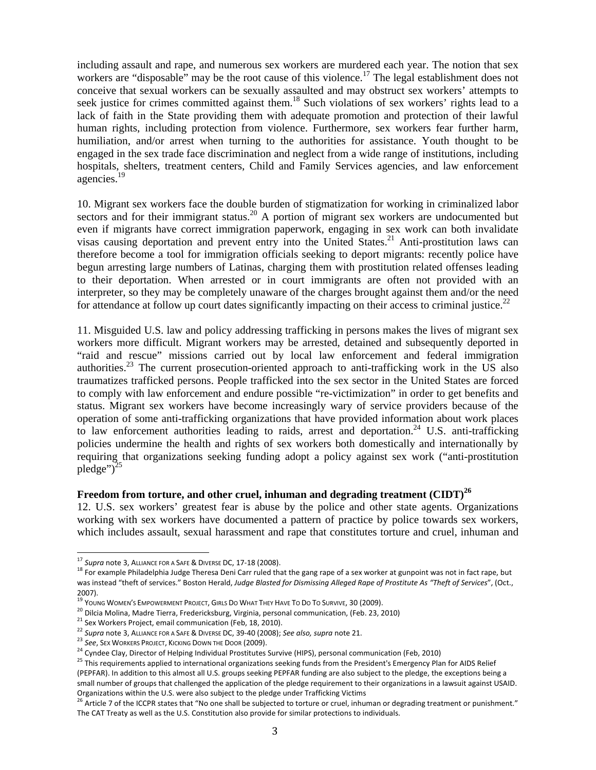including assault and rape, and numerous sex workers are murdered each year. The notion that sex workers are "disposable" may be the root cause of this violence.<sup>17</sup> The legal establishment does not conceive that sexual workers can be sexually assaulted and may obstruct sex workers' attempts to seek justice for crimes committed against them.<sup>18</sup> Such violations of sex workers' rights lead to a lack of faith in the State providing them with adequate promotion and protection of their lawful human rights, including protection from violence. Furthermore, sex workers fear further harm, humiliation, and/or arrest when turning to the authorities for assistance. Youth thought to be engaged in the sex trade face discrimination and neglect from a wide range of institutions, including hospitals, shelters, treatment centers, Child and Family Services agencies, and law enforcement agencies.<sup>19</sup>

10. Migrant sex workers face the double burden of stigmatization for working in criminalized labor sectors and for their immigrant status.<sup>20</sup> A portion of migrant sex workers are undocumented but even if migrants have correct immigration paperwork, engaging in sex work can both invalidate visas causing deportation and prevent entry into the United States.<sup>21</sup> Anti-prostitution laws can therefore become a tool for immigration officials seeking to deport migrants: recently police have begun arresting large numbers of Latinas, charging them with prostitution related offenses leading to their deportation. When arrested or in court immigrants are often not provided with an interpreter, so they may be completely unaware of the charges brought against them and/or the need for attendance at follow up court dates significantly impacting on their access to criminal justice.<sup>22</sup>

11. Misguided U.S. law and policy addressing trafficking in persons makes the lives of migrant sex workers more difficult. Migrant workers may be arrested, detained and subsequently deported in "raid and rescue" missions carried out by local law enforcement and federal immigration authorities.<sup>23</sup> The current prosecution-oriented approach to anti-trafficking work in the US also traumatizes trafficked persons. People trafficked into the sex sector in the United States are forced to comply with law enforcement and endure possible "re-victimization" in order to get benefits and status. Migrant sex workers have become increasingly wary of service providers because of the operation of some anti-trafficking organizations that have provided information about work places to law enforcement authorities leading to raids, arrest and deportation.<sup>24</sup> U.S. anti-trafficking policies undermine the health and rights of sex workers both domestically and internationally by requiring that organizations seeking funding adopt a policy against sex work ("anti-prostitution pledge") $^{25}$ 

#### **Freedom from torture, and other cruel, inhuman and degrading treatment (CIDT)<sup>26</sup>**

12. U.S. sex workers' greatest fear is abuse by the police and other state agents. Organizations working with sex workers have documented a pattern of practice by police towards sex workers, which includes assault, sexual harassment and rape that constitutes torture and cruel, inhuman and

<sup>&</sup>lt;sup>17</sup> Supra note 3, ALLIANCE FOR A SAFE & DIVERSE DC, 17-18 (2008).

<sup>&</sup>lt;sup>18</sup> For example Philadelphia Judge Theresa Deni Carr ruled that the gang rape of a sex worker at gunpoint was not in fact rape, but was instead "theft of services." Boston Herald, *Judge Blasted for Dismissing Alleged Rape of Prostitute As "Theft of Services*", (Oct.,

<sup>2007).&</sup>lt;br><sup>19</sup> Young Women's Empowerment Project, Girls Do What They Have To Do To Survive, 30 (2009).

<sup>&</sup>lt;sup>20</sup> Dilcia Molina, Madre Tierra, Fredericksburg, Virginia, personal communication, (Feb. 23, 2010)<br>
<sup>21</sup> Sex Workers Project, email communication (Feb, 18, 2010).<br>
<sup>22</sup> Supra note 3, ALLIANCE FOR A SAFE & DIVERSE DC, 39-(PEPFAR). In addition to this almost all U.S. groups seeking PEPFAR funding are also subject to the pledge, the exceptions being a small number of groups that challenged the application of the pledge requirement to their organizations in a lawsuit against USAID.

Organizations within the U.S. were also subject to the pledge under Trafficking Victims 26 Article 7 of the ICCPR states that "No one shall be subjected to torture or cruel, inhuman or degrading treatment or punishment." The CAT Treaty as well as the U.S. Constitution also provide for similar protections to individuals.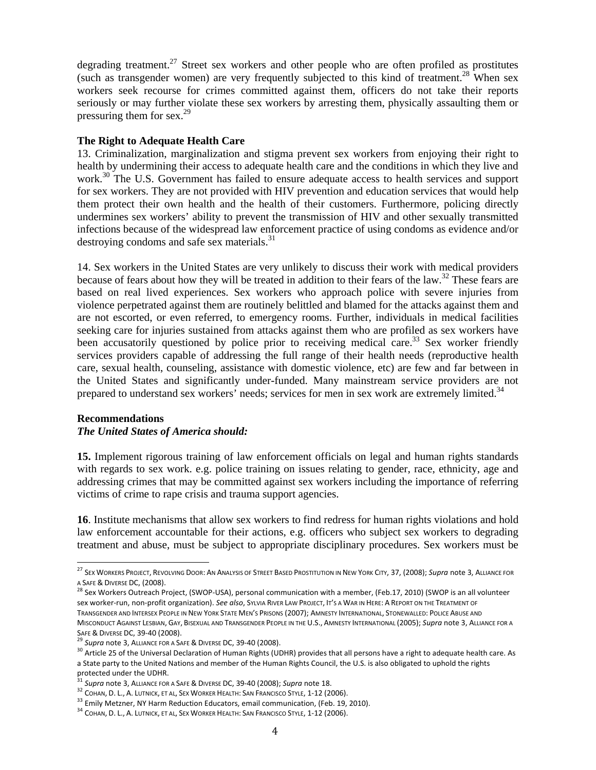degrading treatment.<sup>27</sup> Street sex workers and other people who are often profiled as prostitutes (such as transgender women) are very frequently subjected to this kind of treatment.<sup>28</sup> When sex workers seek recourse for crimes committed against them, officers do not take their reports seriously or may further violate these sex workers by arresting them, physically assaulting them or pressuring them for sex. $29$ 

## **The Right to Adequate Health Care**

13. Criminalization, marginalization and stigma prevent sex workers from enjoying their right to health by undermining their access to adequate health care and the conditions in which they live and work.<sup>30</sup> The U.S. Government has failed to ensure adequate access to health services and support for sex workers. They are not provided with HIV prevention and education services that would help them protect their own health and the health of their customers. Furthermore, policing directly undermines sex workers' ability to prevent the transmission of HIV and other sexually transmitted infections because of the widespread law enforcement practice of using condoms as evidence and/or destroying condoms and safe sex materials. $31$ 

14. Sex workers in the United States are very unlikely to discuss their work with medical providers because of fears about how they will be treated in addition to their fears of the law.<sup>32</sup> These fears are based on real lived experiences. Sex workers who approach police with severe injuries from violence perpetrated against them are routinely belittled and blamed for the attacks against them and are not escorted, or even referred, to emergency rooms. Further, individuals in medical facilities seeking care for injuries sustained from attacks against them who are profiled as sex workers have been accusatorily questioned by police prior to receiving medical care.<sup>33</sup> Sex worker friendly services providers capable of addressing the full range of their health needs (reproductive health care, sexual health, counseling, assistance with domestic violence, etc) are few and far between in the United States and significantly under-funded. Many mainstream service providers are not prepared to understand sex workers' needs; services for men in sex work are extremely limited.<sup>34</sup>

## **Recommendations**

## *The United States of America should:*

**15.** Implement rigorous training of law enforcement officials on legal and human rights standards with regards to sex work. e.g. police training on issues relating to gender, race, ethnicity, age and addressing crimes that may be committed against sex workers including the importance of referring victims of crime to rape crisis and trauma support agencies.

**16**. Institute mechanisms that allow sex workers to find redress for human rights violations and hold law enforcement accountable for their actions, e.g. officers who subject sex workers to degrading treatment and abuse, must be subject to appropriate disciplinary procedures. Sex workers must be

<sup>27</sup> SEX WORKERS PROJECT, REVOLVING DOOR: AN ANALYSIS OF STREET BASED PROSTITUTION IN NEW YORK CITY, 37, (2008); *Supra* note 3, ALLIANCE FOR A SAFE & DIVERSE DC, (2008).<br><sup>28</sup> Sex Workers Outreach Project, (SWOP‐USA), personal communication with a member, (Feb.17, 2010) (SWOP is an all volunteer

sex worker‐run, non‐profit organization). *See also*, SYLVIA RIVER LAW PROJECT, IT'S A WAR IN HERE: A REPORT ON THE TREATMENT OF TRANSGENDER AND INTERSEX PEOPLE IN NEW YORK STATE MEN'S PRISONS (2007); AMNESTY INTERNATIONAL, STONEWALLED: POLICE ABUSE AND MISCONDUCT AGAINST LESBIAN, GAY, BISEXUAL AND TRANSGENDER PEOPLE IN THE U.S., AMNESTY INTERNATIONAL (2005); *Supra* note 3, ALLIANCE FOR A

SAFE & DIVERSE DC, 39-40 (2008).<br><sup>29</sup> Supra note 3, ALLIANCE FOR A SAFE & DIVERSE DC, 39-40 (2008).<br><sup>30</sup> Article 25 of the Universal Declaration of Human Rights (UDHR) provides that all persons have a right to adequate hea a State party to the United Nations and member of the Human Rights Council, the U.S. is also obligated to uphold the rights protected under the UDHR.

<sup>&</sup>lt;sup>31</sup> Supra note 3, Alliance for a Safe & Diverse DC, 39-40 (2008); Supra note 18.<br><sup>32</sup> Cohan, D. L., A. Lutnick, et al., Sex Worker Health: San Francisco Style, 1-12 (2006).<br><sup>33</sup> Emily Metzner, NY Harm Reduction Educators,